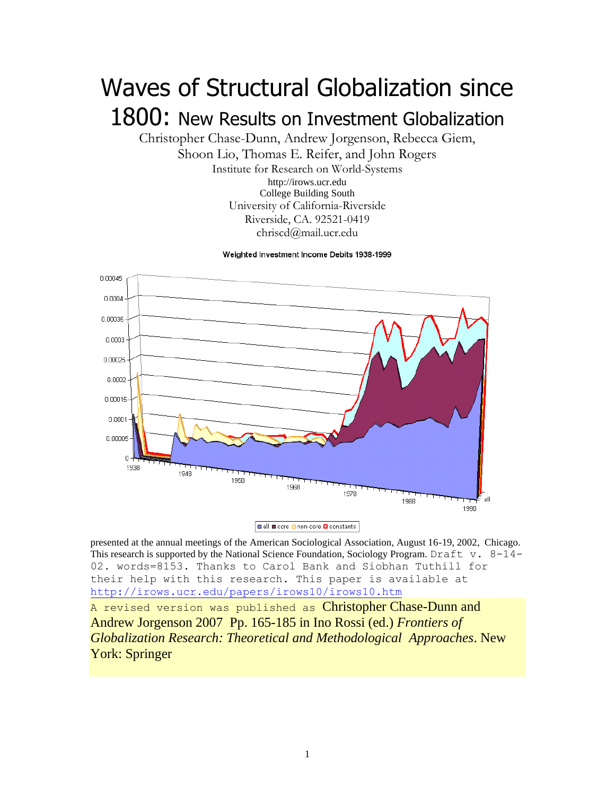# Waves of Structural Globalization since 1800: New Results on Investment Globalization

Christopher Chase-Dunn, Andrew Jorgenson, Rebecca Giem,

Shoon Lio, Thomas E. Reifer, and John Rogers

Institute for Research on World-Systems http://irows.ucr.edu College Building South University of California-Riverside Riverside, CA. 92521-0419 chriscd@mail.ucr.edu

Weighted Investment Income Debits 1938-1999



presented at the annual meetings of the American Sociological Association, August 16-19, 2002, Chicago. This research is supported by the National Science Foundation, Sociology Program. Draft  $v. 8-14-$ 02. words=8153. Thanks to Carol Bank and Siobhan Tuthill for their help with this research. This paper is available at <http://irows.ucr.edu/papers/irows10/irows10.htm>

A revised version was published as Christopher Chase-Dunn and Andrew Jorgenson 2007 Pp. 165-185 in Ino Rossi (ed.) *Frontiers of Globalization Research: Theoretical and Methodological Approaches*. New York: Springer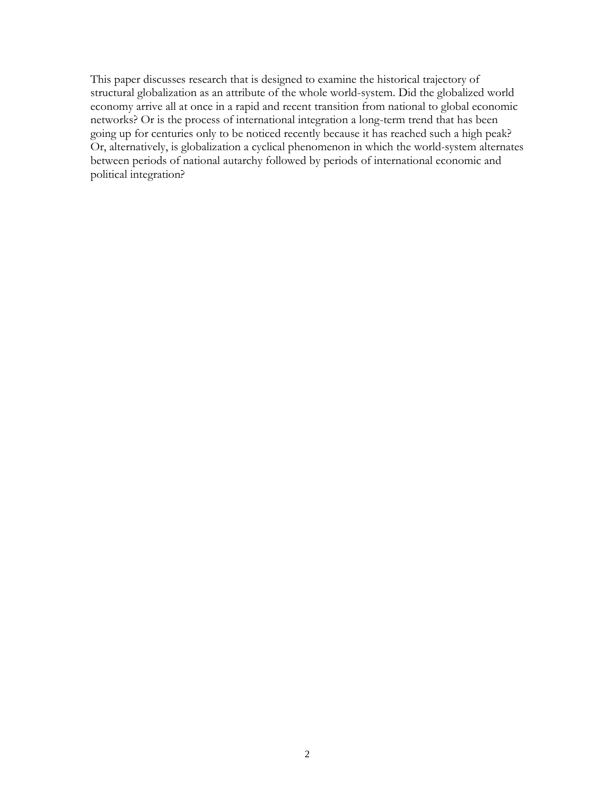This paper discusses research that is designed to examine the historical trajectory of structural globalization as an attribute of the whole world-system. Did the globalized world economy arrive all at once in a rapid and recent transition from national to global economic networks? Or is the process of international integration a long-term trend that has been going up for centuries only to be noticed recently because it has reached such a high peak? Or, alternatively, is globalization a cyclical phenomenon in which the world-system alternates between periods of national autarchy followed by periods of international economic and political integration?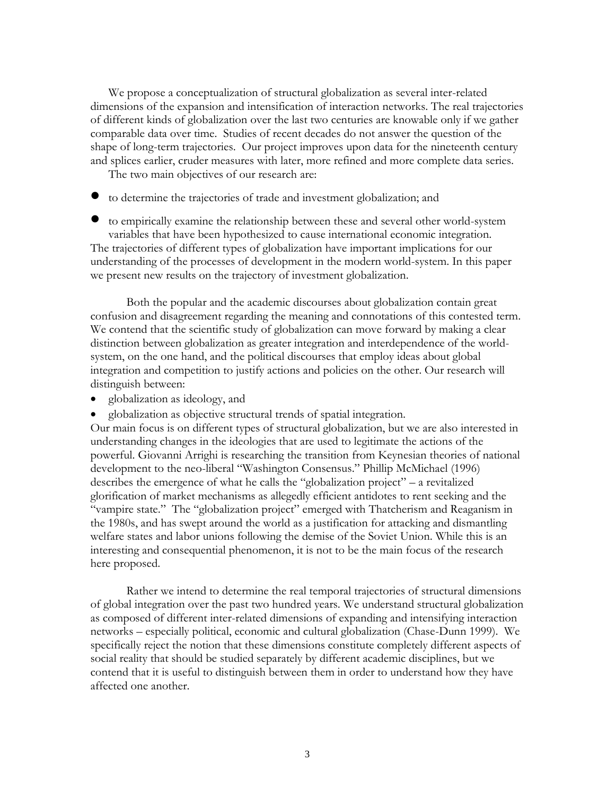We propose a conceptualization of structural globalization as several inter-related dimensions of the expansion and intensification of interaction networks. The real trajectories of different kinds of globalization over the last two centuries are knowable only if we gather comparable data over time. Studies of recent decades do not answer the question of the shape of long-term trajectories. Our project improves upon data for the nineteenth century and splices earlier, cruder measures with later, more refined and more complete data series.

The two main objectives of our research are:

• to determine the trajectories of trade and investment globalization; and

• to empirically examine the relationship between these and several other world-system variables that have been hypothesized to cause international economic integration. The trajectories of different types of globalization have important implications for our understanding of the processes of development in the modern world-system. In this paper we present new results on the trajectory of investment globalization.

Both the popular and the academic discourses about globalization contain great confusion and disagreement regarding the meaning and connotations of this contested term. We contend that the scientific study of globalization can move forward by making a clear distinction between globalization as greater integration and interdependence of the worldsystem, on the one hand, and the political discourses that employ ideas about global integration and competition to justify actions and policies on the other. Our research will distinguish between:

- globalization as ideology, and
- globalization as objective structural trends of spatial integration.

Our main focus is on different types of structural globalization, but we are also interested in understanding changes in the ideologies that are used to legitimate the actions of the powerful. Giovanni Arrighi is researching the transition from Keynesian theories of national development to the neo-liberal "Washington Consensus." Phillip McMichael (1996) describes the emergence of what he calls the "globalization project" – a revitalized glorification of market mechanisms as allegedly efficient antidotes to rent seeking and the "vampire state." The "globalization project" emerged with Thatcherism and Reaganism in the 1980s, and has swept around the world as a justification for attacking and dismantling welfare states and labor unions following the demise of the Soviet Union. While this is an interesting and consequential phenomenon, it is not to be the main focus of the research here proposed.

Rather we intend to determine the real temporal trajectories of structural dimensions of global integration over the past two hundred years. We understand structural globalization as composed of different inter-related dimensions of expanding and intensifying interaction networks – especially political, economic and cultural globalization (Chase-Dunn 1999). We specifically reject the notion that these dimensions constitute completely different aspects of social reality that should be studied separately by different academic disciplines, but we contend that it is useful to distinguish between them in order to understand how they have affected one another.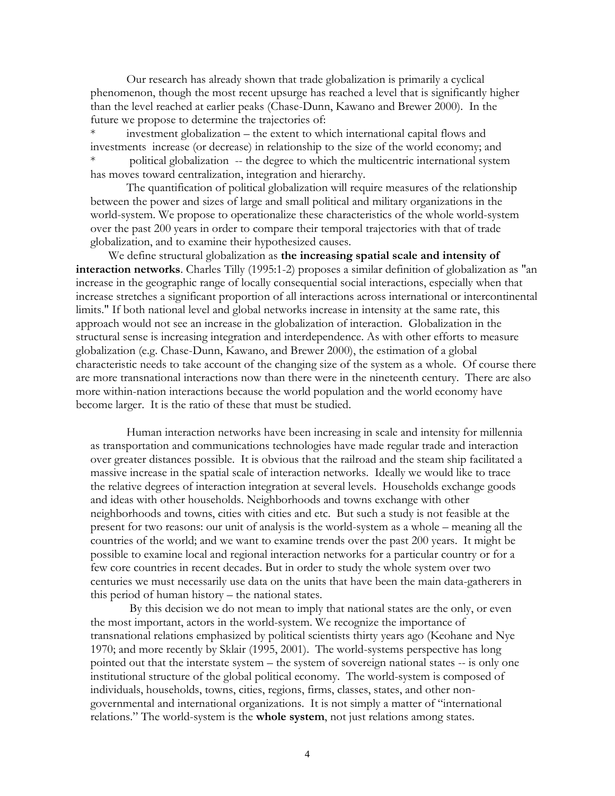Our research has already shown that trade globalization is primarily a cyclical phenomenon, though the most recent upsurge has reached a level that is significantly higher than the level reached at earlier peaks (Chase-Dunn, Kawano and Brewer 2000). In the future we propose to determine the trajectories of:

investment globalization – the extent to which international capital flows and investments increase (or decrease) in relationship to the size of the world economy; and political globalization -- the degree to which the multicentric international system has moves toward centralization, integration and hierarchy.

The quantification of political globalization will require measures of the relationship between the power and sizes of large and small political and military organizations in the world-system. We propose to operationalize these characteristics of the whole world-system over the past 200 years in order to compare their temporal trajectories with that of trade globalization, and to examine their hypothesized causes.

We define structural globalization as **the increasing spatial scale and intensity of interaction networks**. Charles Tilly (1995:1-2) proposes a similar definition of globalization as "an increase in the geographic range of locally consequential social interactions, especially when that increase stretches a significant proportion of all interactions across international or intercontinental limits." If both national level and global networks increase in intensity at the same rate, this approach would not see an increase in the globalization of interaction. Globalization in the structural sense is increasing integration and interdependence. As with other efforts to measure globalization (e.g. Chase-Dunn, Kawano, and Brewer 2000), the estimation of a global characteristic needs to take account of the changing size of the system as a whole. Of course there are more transnational interactions now than there were in the nineteenth century. There are also more within-nation interactions because the world population and the world economy have become larger. It is the ratio of these that must be studied.

Human interaction networks have been increasing in scale and intensity for millennia as transportation and communications technologies have made regular trade and interaction over greater distances possible. It is obvious that the railroad and the steam ship facilitated a massive increase in the spatial scale of interaction networks. Ideally we would like to trace the relative degrees of interaction integration at several levels. Households exchange goods and ideas with other households. Neighborhoods and towns exchange with other neighborhoods and towns, cities with cities and etc. But such a study is not feasible at the present for two reasons: our unit of analysis is the world-system as a whole – meaning all the countries of the world; and we want to examine trends over the past 200 years. It might be possible to examine local and regional interaction networks for a particular country or for a few core countries in recent decades. But in order to study the whole system over two centuries we must necessarily use data on the units that have been the main data-gatherers in this period of human history – the national states.

By this decision we do not mean to imply that national states are the only, or even the most important, actors in the world-system. We recognize the importance of transnational relations emphasized by political scientists thirty years ago (Keohane and Nye 1970; and more recently by Sklair (1995, 2001). The world-systems perspective has long pointed out that the interstate system – the system of sovereign national states -- is only one institutional structure of the global political economy. The world-system is composed of individuals, households, towns, cities, regions, firms, classes, states, and other nongovernmental and international organizations. It is not simply a matter of "international relations." The world-system is the **whole system**, not just relations among states.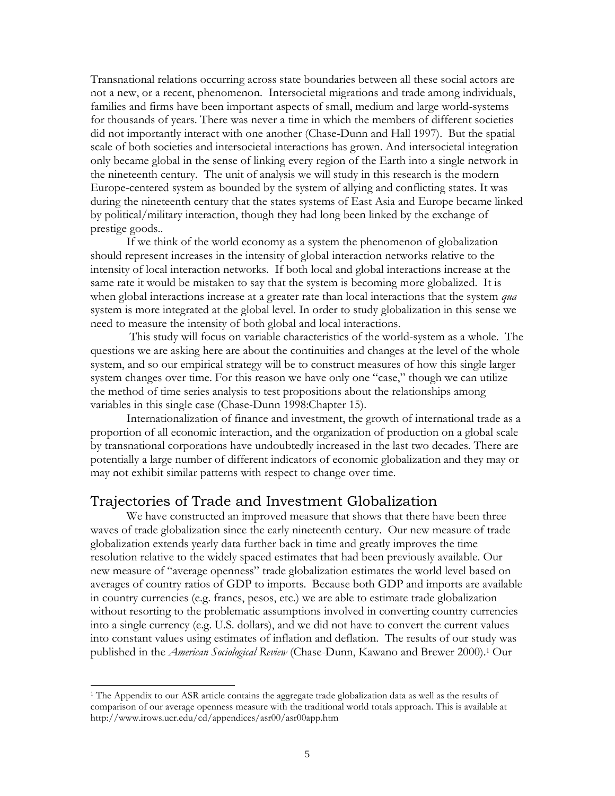Transnational relations occurring across state boundaries between all these social actors are not a new, or a recent, phenomenon. Intersocietal migrations and trade among individuals, families and firms have been important aspects of small, medium and large world-systems for thousands of years. There was never a time in which the members of different societies did not importantly interact with one another (Chase-Dunn and Hall 1997). But the spatial scale of both societies and intersocietal interactions has grown. And intersocietal integration only became global in the sense of linking every region of the Earth into a single network in the nineteenth century. The unit of analysis we will study in this research is the modern Europe-centered system as bounded by the system of allying and conflicting states. It was during the nineteenth century that the states systems of East Asia and Europe became linked by political/military interaction, though they had long been linked by the exchange of prestige goods..

If we think of the world economy as a system the phenomenon of globalization should represent increases in the intensity of global interaction networks relative to the intensity of local interaction networks. If both local and global interactions increase at the same rate it would be mistaken to say that the system is becoming more globalized. It is when global interactions increase at a greater rate than local interactions that the system *qua* system is more integrated at the global level. In order to study globalization in this sense we need to measure the intensity of both global and local interactions.

This study will focus on variable characteristics of the world-system as a whole. The questions we are asking here are about the continuities and changes at the level of the whole system, and so our empirical strategy will be to construct measures of how this single larger system changes over time. For this reason we have only one "case," though we can utilize the method of time series analysis to test propositions about the relationships among variables in this single case (Chase-Dunn 1998:Chapter 15).

Internationalization of finance and investment, the growth of international trade as a proportion of all economic interaction, and the organization of production on a global scale by transnational corporations have undoubtedly increased in the last two decades. There are potentially a large number of different indicators of economic globalization and they may or may not exhibit similar patterns with respect to change over time.

# Trajectories of Trade and Investment Globalization

We have constructed an improved measure that shows that there have been three waves of trade globalization since the early nineteenth century. Our new measure of trade globalization extends yearly data further back in time and greatly improves the time resolution relative to the widely spaced estimates that had been previously available. Our new measure of "average openness" trade globalization estimates the world level based on averages of country ratios of GDP to imports. Because both GDP and imports are available in country currencies (e.g. francs, pesos, etc.) we are able to estimate trade globalization without resorting to the problematic assumptions involved in converting country currencies into a single currency (e.g. U.S. dollars), and we did not have to convert the current values into constant values using estimates of inflation and deflation. The results of our study was published in the *American Sociological Review* (Chase-Dunn, Kawano and Brewer 2000).<sup>1</sup> Our

<sup>&</sup>lt;sup>1</sup> The Appendix to our ASR article contains the aggregate trade globalization data as well as the results of comparison of our average openness measure with the traditional world totals approach. This is available at http://www.irows.ucr.edu/cd/appendices/asr00/asr00app.htm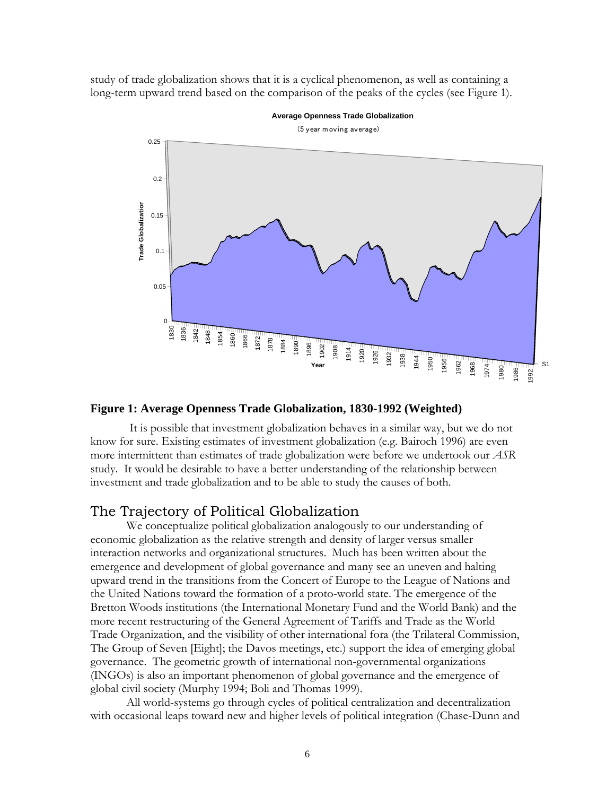study of trade globalization shows that it is a cyclical phenomenon, as well as containing a long-term upward trend based on the comparison of the peaks of the cycles (see Figure 1).



**Figure 1: Average Openness Trade Globalization, 1830-1992 (Weighted)**

It is possible that investment globalization behaves in a similar way, but we do not know for sure. Existing estimates of investment globalization (e.g. Bairoch 1996) are even more intermittent than estimates of trade globalization were before we undertook our *ASR* study. It would be desirable to have a better understanding of the relationship between investment and trade globalization and to be able to study the causes of both.

## The Trajectory of Political Globalization

We conceptualize political globalization analogously to our understanding of economic globalization as the relative strength and density of larger versus smaller interaction networks and organizational structures. Much has been written about the emergence and development of global governance and many see an uneven and halting upward trend in the transitions from the Concert of Europe to the League of Nations and the United Nations toward the formation of a proto-world state. The emergence of the Bretton Woods institutions (the International Monetary Fund and the World Bank) and the more recent restructuring of the General Agreement of Tariffs and Trade as the World Trade Organization, and the visibility of other international fora (the Trilateral Commission, The Group of Seven [Eight]; the Davos meetings, etc.) support the idea of emerging global governance. The geometric growth of international non-governmental organizations (INGOs) is also an important phenomenon of global governance and the emergence of global civil society (Murphy 1994; Boli and Thomas 1999).

All world-systems go through cycles of political centralization and decentralization with occasional leaps toward new and higher levels of political integration (Chase-Dunn and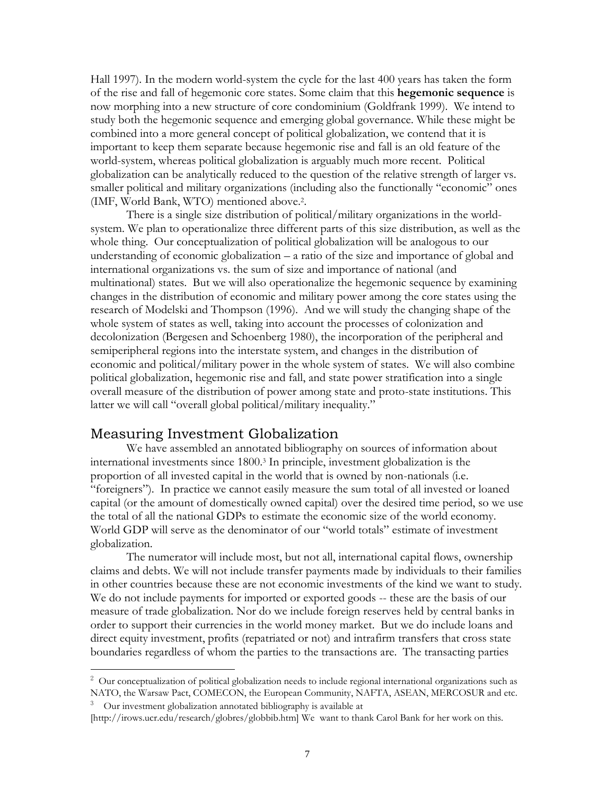Hall 1997). In the modern world-system the cycle for the last 400 years has taken the form of the rise and fall of hegemonic core states. Some claim that this **hegemonic sequence** is now morphing into a new structure of core condominium (Goldfrank 1999). We intend to study both the hegemonic sequence and emerging global governance. While these might be combined into a more general concept of political globalization, we contend that it is important to keep them separate because hegemonic rise and fall is an old feature of the world-system, whereas political globalization is arguably much more recent. Political globalization can be analytically reduced to the question of the relative strength of larger vs. smaller political and military organizations (including also the functionally "economic" ones (IMF, World Bank, WTO) mentioned above.<sup>2</sup> .

There is a single size distribution of political/military organizations in the worldsystem. We plan to operationalize three different parts of this size distribution, as well as the whole thing. Our conceptualization of political globalization will be analogous to our understanding of economic globalization – a ratio of the size and importance of global and international organizations vs. the sum of size and importance of national (and multinational) states. But we will also operationalize the hegemonic sequence by examining changes in the distribution of economic and military power among the core states using the research of Modelski and Thompson (1996). And we will study the changing shape of the whole system of states as well, taking into account the processes of colonization and decolonization (Bergesen and Schoenberg 1980), the incorporation of the peripheral and semiperipheral regions into the interstate system, and changes in the distribution of economic and political/military power in the whole system of states. We will also combine political globalization, hegemonic rise and fall, and state power stratification into a single overall measure of the distribution of power among state and proto-state institutions. This latter we will call "overall global political/military inequality."

## Measuring Investment Globalization

We have assembled an annotated bibliography on sources of information about international investments since 1800.<sup>3</sup> In principle, investment globalization is the proportion of all invested capital in the world that is owned by non-nationals (i.e. "foreigners"). In practice we cannot easily measure the sum total of all invested or loaned capital (or the amount of domestically owned capital) over the desired time period, so we use the total of all the national GDPs to estimate the economic size of the world economy. World GDP will serve as the denominator of our "world totals" estimate of investment globalization.

The numerator will include most, but not all, international capital flows, ownership claims and debts. We will not include transfer payments made by individuals to their families in other countries because these are not economic investments of the kind we want to study. We do not include payments for imported or exported goods -- these are the basis of our measure of trade globalization. Nor do we include foreign reserves held by central banks in order to support their currencies in the world money market. But we do include loans and direct equity investment, profits (repatriated or not) and intrafirm transfers that cross state boundaries regardless of whom the parties to the transactions are. The transacting parties

 $2$  Our conceptualization of political globalization needs to include regional international organizations such as NATO, the Warsaw Pact, COMECON, the European Community, NAFTA, ASEAN, MERCOSUR and etc.

<sup>&</sup>lt;sup>3</sup> Our investment globalization annotated bibliography is available at

<sup>[</sup>http://irows.ucr.edu/research/globres/globbib.htm] We want to thank Carol Bank for her work on this.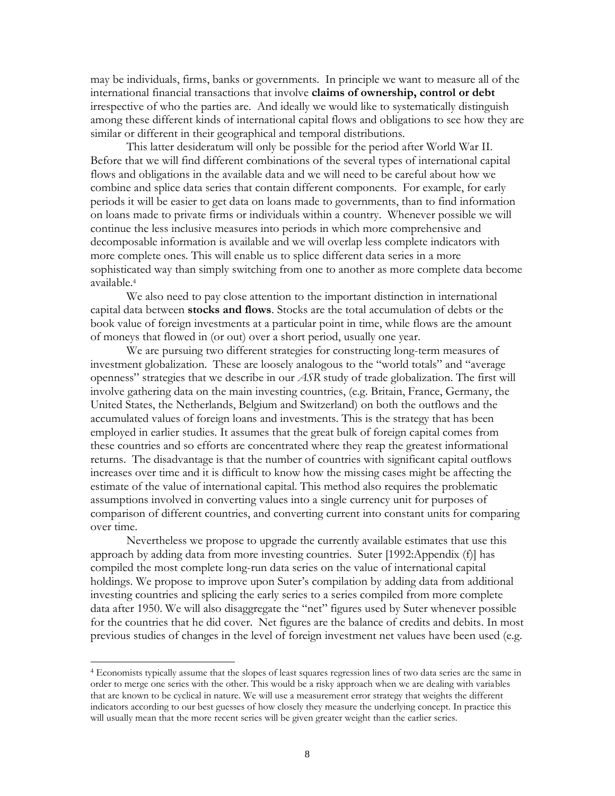may be individuals, firms, banks or governments. In principle we want to measure all of the international financial transactions that involve **claims of ownership, control or debt** irrespective of who the parties are. And ideally we would like to systematically distinguish among these different kinds of international capital flows and obligations to see how they are similar or different in their geographical and temporal distributions.

This latter desideratum will only be possible for the period after World War II. Before that we will find different combinations of the several types of international capital flows and obligations in the available data and we will need to be careful about how we combine and splice data series that contain different components. For example, for early periods it will be easier to get data on loans made to governments, than to find information on loans made to private firms or individuals within a country. Whenever possible we will continue the less inclusive measures into periods in which more comprehensive and decomposable information is available and we will overlap less complete indicators with more complete ones. This will enable us to splice different data series in a more sophisticated way than simply switching from one to another as more complete data become available.<sup>4</sup>

We also need to pay close attention to the important distinction in international capital data between **stocks and flows**. Stocks are the total accumulation of debts or the book value of foreign investments at a particular point in time, while flows are the amount of moneys that flowed in (or out) over a short period, usually one year.

We are pursuing two different strategies for constructing long-term measures of investment globalization. These are loosely analogous to the "world totals" and "average openness" strategies that we describe in our *ASR* study of trade globalization. The first will involve gathering data on the main investing countries, (e.g. Britain, France, Germany, the United States, the Netherlands, Belgium and Switzerland) on both the outflows and the accumulated values of foreign loans and investments. This is the strategy that has been employed in earlier studies. It assumes that the great bulk of foreign capital comes from these countries and so efforts are concentrated where they reap the greatest informational returns. The disadvantage is that the number of countries with significant capital outflows increases over time and it is difficult to know how the missing cases might be affecting the estimate of the value of international capital. This method also requires the problematic assumptions involved in converting values into a single currency unit for purposes of comparison of different countries, and converting current into constant units for comparing over time.

Nevertheless we propose to upgrade the currently available estimates that use this approach by adding data from more investing countries. Suter [1992:Appendix (f)] has compiled the most complete long-run data series on the value of international capital holdings. We propose to improve upon Suter's compilation by adding data from additional investing countries and splicing the early series to a series compiled from more complete data after 1950. We will also disaggregate the "net" figures used by Suter whenever possible for the countries that he did cover. Net figures are the balance of credits and debits. In most previous studies of changes in the level of foreign investment net values have been used (e.g.

<sup>4</sup> Economists typically assume that the slopes of least squares regression lines of two data series are the same in order to merge one series with the other. This would be a risky approach when we are dealing with variables that are known to be cyclical in nature. We will use a measurement error strategy that weights the different indicators according to our best guesses of how closely they measure the underlying concept. In practice this will usually mean that the more recent series will be given greater weight than the earlier series.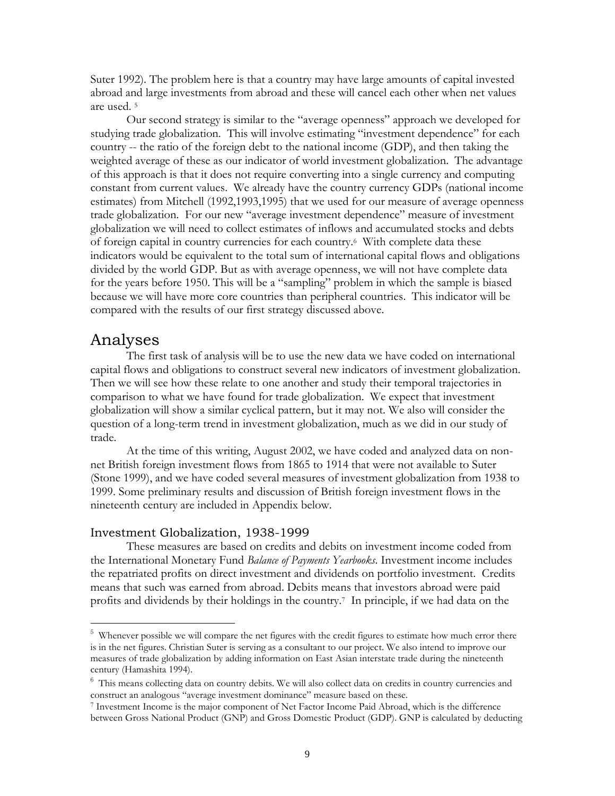Suter 1992). The problem here is that a country may have large amounts of capital invested abroad and large investments from abroad and these will cancel each other when net values are used. <sup>5</sup>

Our second strategy is similar to the "average openness" approach we developed for studying trade globalization. This will involve estimating "investment dependence" for each country -- the ratio of the foreign debt to the national income (GDP), and then taking the weighted average of these as our indicator of world investment globalization. The advantage of this approach is that it does not require converting into a single currency and computing constant from current values. We already have the country currency GDPs (national income estimates) from Mitchell (1992,1993,1995) that we used for our measure of average openness trade globalization. For our new "average investment dependence" measure of investment globalization we will need to collect estimates of inflows and accumulated stocks and debts of foreign capital in country currencies for each country.<sup>6</sup> With complete data these indicators would be equivalent to the total sum of international capital flows and obligations divided by the world GDP. But as with average openness, we will not have complete data for the years before 1950. This will be a "sampling" problem in which the sample is biased because we will have more core countries than peripheral countries. This indicator will be compared with the results of our first strategy discussed above.

## Analyses

The first task of analysis will be to use the new data we have coded on international capital flows and obligations to construct several new indicators of investment globalization. Then we will see how these relate to one another and study their temporal trajectories in comparison to what we have found for trade globalization. We expect that investment globalization will show a similar cyclical pattern, but it may not. We also will consider the question of a long-term trend in investment globalization, much as we did in our study of trade.

At the time of this writing, August 2002, we have coded and analyzed data on nonnet British foreign investment flows from 1865 to 1914 that were not available to Suter (Stone 1999), and we have coded several measures of investment globalization from 1938 to 1999. Some preliminary results and discussion of British foreign investment flows in the nineteenth century are included in Appendix below.

## Investment Globalization, 1938-1999

These measures are based on credits and debits on investment income coded from the International Monetary Fund *Balance of Payments Yearbooks*. Investment income includes the repatriated profits on direct investment and dividends on portfolio investment. Credits means that such was earned from abroad. Debits means that investors abroad were paid profits and dividends by their holdings in the country.<sup>7</sup> In principle, if we had data on the

 $5$  Whenever possible we will compare the net figures with the credit figures to estimate how much error there is in the net figures. Christian Suter is serving as a consultant to our project. We also intend to improve our measures of trade globalization by adding information on East Asian interstate trade during the nineteenth century (Hamashita 1994).

<sup>6</sup> This means collecting data on country debits. We will also collect data on credits in country currencies and construct an analogous "average investment dominance" measure based on these.

<sup>7</sup> Investment Income is the major component of Net Factor Income Paid Abroad, which is the difference between Gross National Product (GNP) and Gross Domestic Product (GDP). GNP is calculated by deducting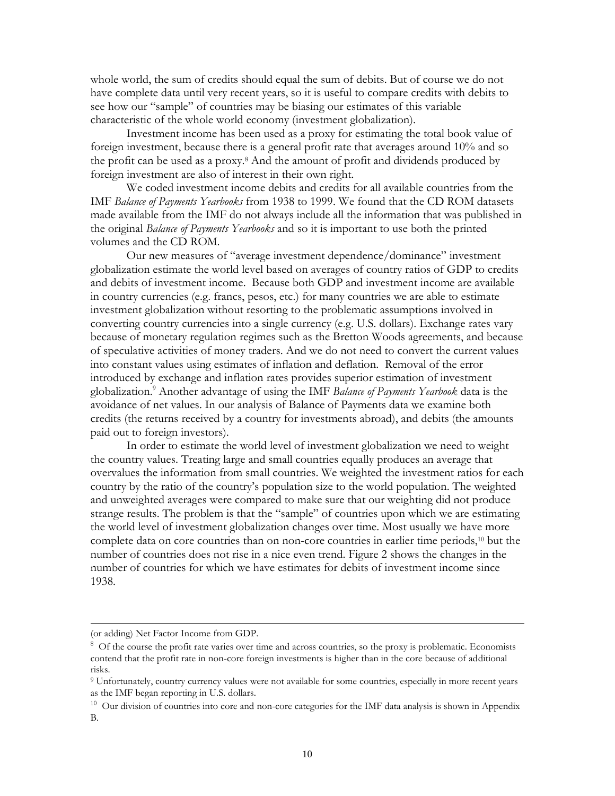whole world, the sum of credits should equal the sum of debits. But of course we do not have complete data until very recent years, so it is useful to compare credits with debits to see how our "sample" of countries may be biasing our estimates of this variable characteristic of the whole world economy (investment globalization).

Investment income has been used as a proxy for estimating the total book value of foreign investment, because there is a general profit rate that averages around 10% and so the profit can be used as a proxy.<sup>8</sup> And the amount of profit and dividends produced by foreign investment are also of interest in their own right.

We coded investment income debits and credits for all available countries from the IMF *Balance of Payments Yearbooks* from 1938 to 1999. We found that the CD ROM datasets made available from the IMF do not always include all the information that was published in the original *Balance of Payments Yearbooks* and so it is important to use both the printed volumes and the CD ROM.

Our new measures of "average investment dependence/dominance" investment globalization estimate the world level based on averages of country ratios of GDP to credits and debits of investment income. Because both GDP and investment income are available in country currencies (e.g. francs, pesos, etc.) for many countries we are able to estimate investment globalization without resorting to the problematic assumptions involved in converting country currencies into a single currency (e.g. U.S. dollars). Exchange rates vary because of monetary regulation regimes such as the Bretton Woods agreements, and because of speculative activities of money traders. And we do not need to convert the current values into constant values using estimates of inflation and deflation. Removal of the error introduced by exchange and inflation rates provides superior estimation of investment globalization.<sup>9</sup> Another advantage of using the IMF *Balance of Payments Yearbook* data is the avoidance of net values. In our analysis of Balance of Payments data we examine both credits (the returns received by a country for investments abroad), and debits (the amounts paid out to foreign investors).

In order to estimate the world level of investment globalization we need to weight the country values. Treating large and small countries equally produces an average that overvalues the information from small countries. We weighted the investment ratios for each country by the ratio of the country's population size to the world population. The weighted and unweighted averages were compared to make sure that our weighting did not produce strange results. The problem is that the "sample" of countries upon which we are estimating the world level of investment globalization changes over time. Most usually we have more complete data on core countries than on non-core countries in earlier time periods,<sup>10</sup> but the number of countries does not rise in a nice even trend. Figure 2 shows the changes in the number of countries for which we have estimates for debits of investment income since 1938.

<sup>(</sup>or adding) Net Factor Income from GDP.

<sup>&</sup>lt;sup>8</sup> Of the course the profit rate varies over time and across countries, so the proxy is problematic. Economists contend that the profit rate in non-core foreign investments is higher than in the core because of additional risks.

<sup>9</sup> Unfortunately, country currency values were not available for some countries, especially in more recent years as the IMF began reporting in U.S. dollars.

<sup>&</sup>lt;sup>10</sup> Our division of countries into core and non-core categories for the IMF data analysis is shown in Appendix B.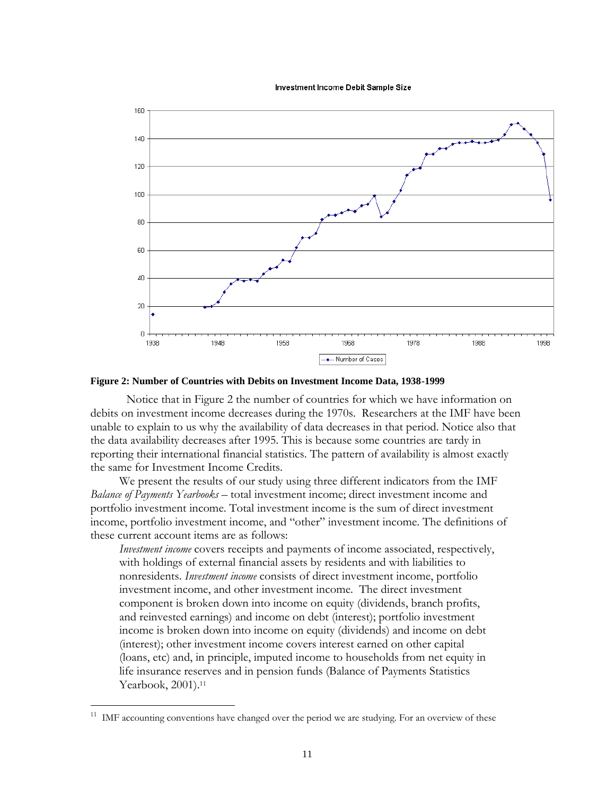Investment Income Debit Sample Size



**Figure 2: Number of Countries with Debits on Investment Income Data, 1938-1999**

Notice that in Figure 2 the number of countries for which we have information on debits on investment income decreases during the 1970s. Researchers at the IMF have been unable to explain to us why the availability of data decreases in that period. Notice also that the data availability decreases after 1995. This is because some countries are tardy in reporting their international financial statistics. The pattern of availability is almost exactly the same for Investment Income Credits.

We present the results of our study using three different indicators from the IMF *Balance of Payments Yearbooks* – total investment income; direct investment income and portfolio investment income. Total investment income is the sum of direct investment income, portfolio investment income, and "other" investment income. The definitions of these current account items are as follows:

*Investment income* covers receipts and payments of income associated, respectively, with holdings of external financial assets by residents and with liabilities to nonresidents. *Investment income* consists of direct investment income, portfolio investment income, and other investment income. The direct investment component is broken down into income on equity (dividends, branch profits, and reinvested earnings) and income on debt (interest); portfolio investment income is broken down into income on equity (dividends) and income on debt (interest); other investment income covers interest earned on other capital (loans, etc) and, in principle, imputed income to households from net equity in life insurance reserves and in pension funds (Balance of Payments Statistics Yearbook, 2001).<sup>11</sup>

<sup>&</sup>lt;sup>11</sup> IMF accounting conventions have changed over the period we are studying. For an overview of these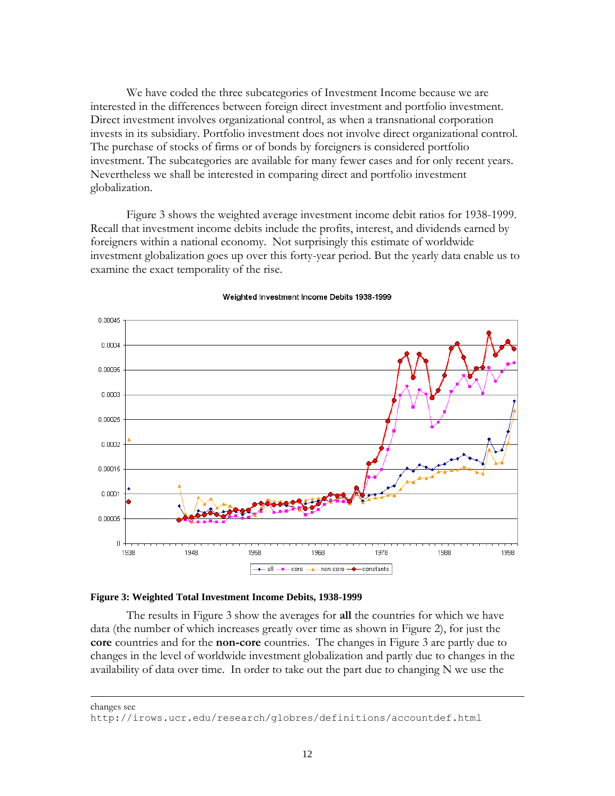We have coded the three subcategories of Investment Income because we are interested in the differences between foreign direct investment and portfolio investment. Direct investment involves organizational control, as when a transnational corporation invests in its subsidiary. Portfolio investment does not involve direct organizational control. The purchase of stocks of firms or of bonds by foreigners is considered portfolio investment. The subcategories are available for many fewer cases and for only recent years. Nevertheless we shall be interested in comparing direct and portfolio investment globalization.

Figure 3 shows the weighted average investment income debit ratios for 1938-1999. Recall that investment income debits include the profits, interest, and dividends earned by foreigners within a national economy. Not surprisingly this estimate of worldwide investment globalization goes up over this forty-year period. But the yearly data enable us to examine the exact temporality of the rise.



#### Weighted Investment Income Debits 1938-1999

### **Figure 3: Weighted Total Investment Income Debits, 1938-1999**

The results in Figure 3 show the averages for **all** the countries for which we have data (the number of which increases greatly over time as shown in Figure 2), for just the **core** countries and for the **non-core** countries. The changes in Figure 3 are partly due to changes in the level of worldwide investment globalization and partly due to changes in the availability of data over time. In order to take out the part due to changing N we use the

http://irows.ucr.edu/research/globres/definitions/accountdef.html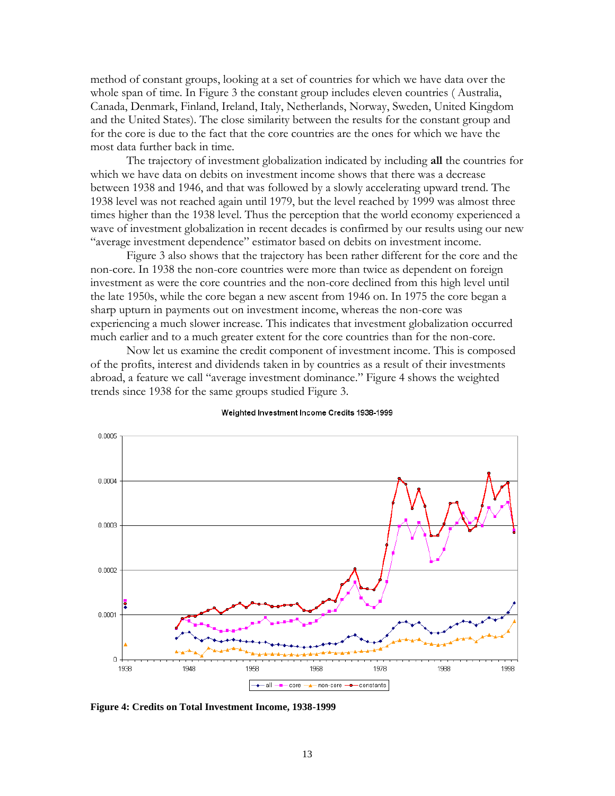method of constant groups, looking at a set of countries for which we have data over the whole span of time. In Figure 3 the constant group includes eleven countries ( Australia, Canada, Denmark, Finland, Ireland, Italy, Netherlands, Norway, Sweden, United Kingdom and the United States). The close similarity between the results for the constant group and for the core is due to the fact that the core countries are the ones for which we have the most data further back in time.

The trajectory of investment globalization indicated by including **all** the countries for which we have data on debits on investment income shows that there was a decrease between 1938 and 1946, and that was followed by a slowly accelerating upward trend. The 1938 level was not reached again until 1979, but the level reached by 1999 was almost three times higher than the 1938 level. Thus the perception that the world economy experienced a wave of investment globalization in recent decades is confirmed by our results using our new "average investment dependence" estimator based on debits on investment income.

Figure 3 also shows that the trajectory has been rather different for the core and the non-core. In 1938 the non-core countries were more than twice as dependent on foreign investment as were the core countries and the non-core declined from this high level until the late 1950s, while the core began a new ascent from 1946 on. In 1975 the core began a sharp upturn in payments out on investment income, whereas the non-core was experiencing a much slower increase. This indicates that investment globalization occurred much earlier and to a much greater extent for the core countries than for the non-core.

Now let us examine the credit component of investment income. This is composed of the profits, interest and dividends taken in by countries as a result of their investments abroad, a feature we call "average investment dominance." Figure 4 shows the weighted trends since 1938 for the same groups studied Figure 3.



#### Weighted Investment Income Credits 1938-1999

**Figure 4: Credits on Total Investment Income, 1938-1999**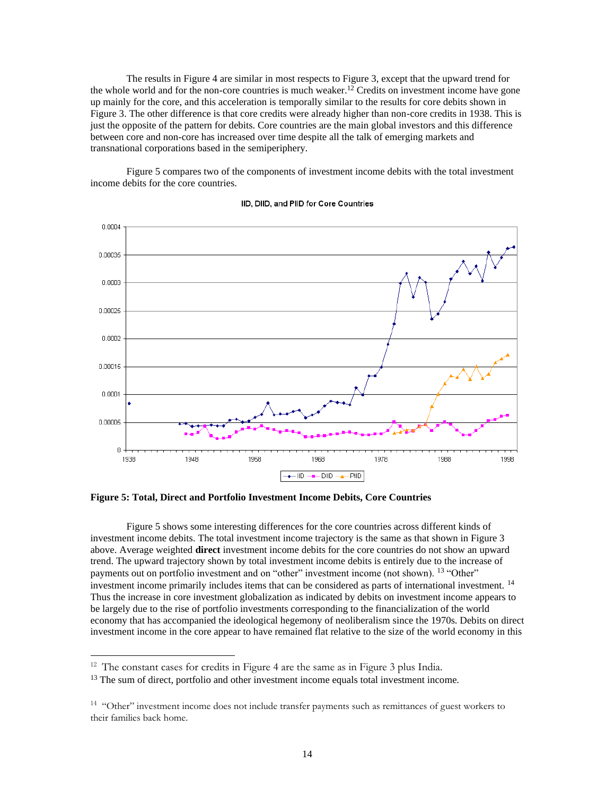The results in Figure 4 are similar in most respects to Figure 3, except that the upward trend for the whole world and for the non-core countries is much weaker.<sup>12</sup> Credits on investment income have gone up mainly for the core, and this acceleration is temporally similar to the results for core debits shown in Figure 3. The other difference is that core credits were already higher than non-core credits in 1938. This is just the opposite of the pattern for debits. Core countries are the main global investors and this difference between core and non-core has increased over time despite all the talk of emerging markets and transnational corporations based in the semiperiphery.

Figure 5 compares two of the components of investment income debits with the total investment income debits for the core countries.



## IID, DIID, and PIID for Core Countries

**Figure 5: Total, Direct and Portfolio Investment Income Debits, Core Countries**

Figure 5 shows some interesting differences for the core countries across different kinds of investment income debits. The total investment income trajectory is the same as that shown in Figure 3 above. Average weighted **direct** investment income debits for the core countries do not show an upward trend. The upward trajectory shown by total investment income debits is entirely due to the increase of payments out on portfolio investment and on "other" investment income (not shown). <sup>13</sup> "Other" investment income primarily includes items that can be considered as parts of international investment. <sup>14</sup> Thus the increase in core investment globalization as indicated by debits on investment income appears to be largely due to the rise of portfolio investments corresponding to the financialization of the world economy that has accompanied the ideological hegemony of neoliberalism since the 1970s. Debits on direct investment income in the core appear to have remained flat relative to the size of the world economy in this

<sup>&</sup>lt;sup>12</sup> The constant cases for credits in Figure 4 are the same as in Figure 3 plus India.

<sup>&</sup>lt;sup>13</sup> The sum of direct, portfolio and other investment income equals total investment income.

 $14$  "Other" investment income does not include transfer payments such as remittances of guest workers to their families back home.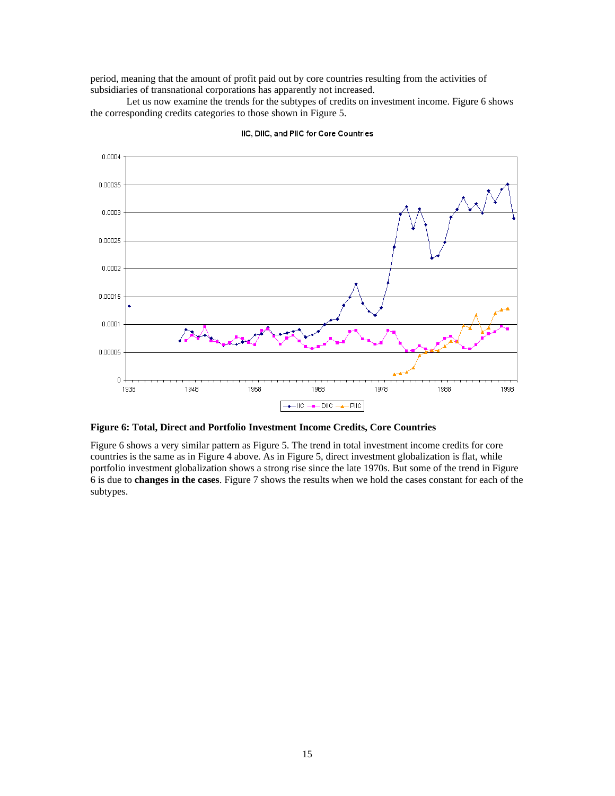period, meaning that the amount of profit paid out by core countries resulting from the activities of subsidiaries of transnational corporations has apparently not increased.

Let us now examine the trends for the subtypes of credits on investment income. Figure 6 shows the corresponding credits categories to those shown in Figure 5.



IIC, DIIC, and PIIC for Core Countries

**Figure 6: Total, Direct and Portfolio Investment Income Credits, Core Countries**

Figure 6 shows a very similar pattern as Figure 5. The trend in total investment income credits for core countries is the same as in Figure 4 above. As in Figure 5, direct investment globalization is flat, while portfolio investment globalization shows a strong rise since the late 1970s. But some of the trend in Figure 6 is due to **changes in the cases**. Figure 7 shows the results when we hold the cases constant for each of the subtypes.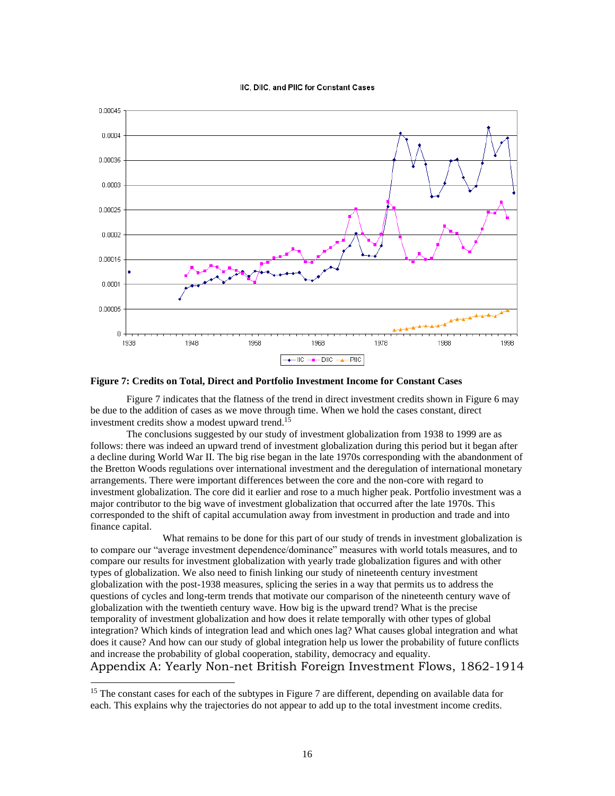#### IIC, DIIC, and PIIC for Constant Cases



**Figure 7: Credits on Total, Direct and Portfolio Investment Income for Constant Cases**

Figure 7 indicates that the flatness of the trend in direct investment credits shown in Figure 6 may be due to the addition of cases as we move through time. When we hold the cases constant, direct investment credits show a modest upward trend.<sup>15</sup>

The conclusions suggested by our study of investment globalization from 1938 to 1999 are as follows: there was indeed an upward trend of investment globalization during this period but it began after a decline during World War II. The big rise began in the late 1970s corresponding with the abandonment of the Bretton Woods regulations over international investment and the deregulation of international monetary arrangements. There were important differences between the core and the non-core with regard to investment globalization. The core did it earlier and rose to a much higher peak. Portfolio investment was a major contributor to the big wave of investment globalization that occurred after the late 1970s. This corresponded to the shift of capital accumulation away from investment in production and trade and into finance capital.

What remains to be done for this part of our study of trends in investment globalization is to compare our "average investment dependence/dominance" measures with world totals measures, and to compare our results for investment globalization with yearly trade globalization figures and with other types of globalization. We also need to finish linking our study of nineteenth century investment globalization with the post-1938 measures, splicing the series in a way that permits us to address the questions of cycles and long-term trends that motivate our comparison of the nineteenth century wave of globalization with the twentieth century wave. How big is the upward trend? What is the precise temporality of investment globalization and how does it relate temporally with other types of global integration? Which kinds of integration lead and which ones lag? What causes global integration and what does it cause? And how can our study of global integration help us lower the probability of future conflicts and increase the probability of global cooperation, stability, democracy and equality. Appendix A: Yearly Non-net British Foreign Investment Flows, 1862-1914

<sup>&</sup>lt;sup>15</sup> The constant cases for each of the subtypes in Figure 7 are different, depending on available data for each. This explains why the trajectories do not appear to add up to the total investment income credits.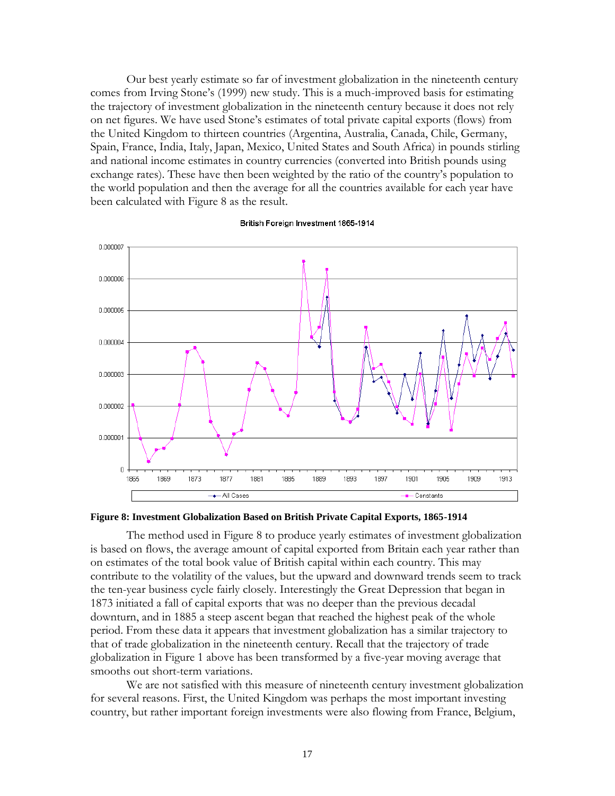Our best yearly estimate so far of investment globalization in the nineteenth century comes from Irving Stone's (1999) new study. This is a much-improved basis for estimating the trajectory of investment globalization in the nineteenth century because it does not rely on net figures. We have used Stone's estimates of total private capital exports (flows) from the United Kingdom to thirteen countries (Argentina, Australia, Canada, Chile, Germany, Spain, France, India, Italy, Japan, Mexico, United States and South Africa) in pounds stirling and national income estimates in country currencies (converted into British pounds using exchange rates). These have then been weighted by the ratio of the country's population to the world population and then the average for all the countries available for each year have been calculated with Figure 8 as the result.



British Foreign Investment 1865-1914



The method used in Figure 8 to produce yearly estimates of investment globalization is based on flows, the average amount of capital exported from Britain each year rather than on estimates of the total book value of British capital within each country. This may contribute to the volatility of the values, but the upward and downward trends seem to track the ten-year business cycle fairly closely. Interestingly the Great Depression that began in 1873 initiated a fall of capital exports that was no deeper than the previous decadal downturn, and in 1885 a steep ascent began that reached the highest peak of the whole period. From these data it appears that investment globalization has a similar trajectory to that of trade globalization in the nineteenth century. Recall that the trajectory of trade globalization in Figure 1 above has been transformed by a five-year moving average that smooths out short-term variations.

We are not satisfied with this measure of nineteenth century investment globalization for several reasons. First, the United Kingdom was perhaps the most important investing country, but rather important foreign investments were also flowing from France, Belgium,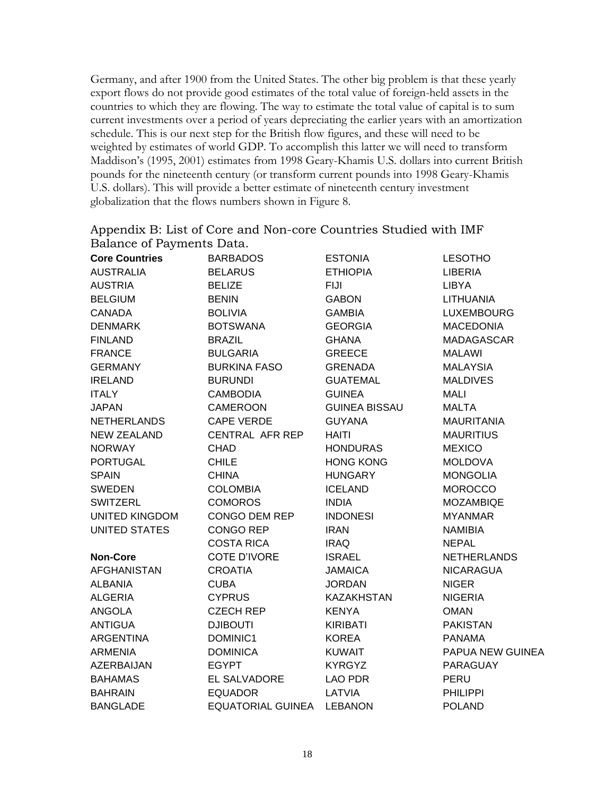Germany, and after 1900 from the United States. The other big problem is that these yearly export flows do not provide good estimates of the total value of foreign-held assets in the countries to which they are flowing. The way to estimate the total value of capital is to sum current investments over a period of years depreciating the earlier years with an amortization schedule. This is our next step for the British flow figures, and these will need to be weighted by estimates of world GDP. To accomplish this latter we will need to transform Maddison's (1995, 2001) estimates from 1998 Geary-Khamis U.S. dollars into current British pounds for the nineteenth century (or transform current pounds into 1998 Geary-Khamis U.S. dollars). This will provide a better estimate of nineteenth century investment globalization that the flows numbers shown in Figure 8.

| <b>Core Countries</b> | <b>BARBADOS</b>           | <b>ESTONIA</b>       | <b>LESOTHO</b>     |
|-----------------------|---------------------------|----------------------|--------------------|
| <b>AUSTRALIA</b>      | <b>BELARUS</b>            | <b>ETHIOPIA</b>      | <b>LIBERIA</b>     |
| <b>AUSTRIA</b>        | <b>BELIZE</b>             | <b>FIJI</b>          | <b>LIBYA</b>       |
| <b>BELGIUM</b>        | <b>BENIN</b>              | <b>GABON</b>         | <b>LITHUANIA</b>   |
| <b>CANADA</b>         | <b>BOLIVIA</b>            | GAMBIA               | <b>LUXEMBOURG</b>  |
| <b>DENMARK</b>        | <b>BOTSWANA</b>           | <b>GEORGIA</b>       | <b>MACEDONIA</b>   |
| <b>FINLAND</b>        | <b>BRAZIL</b>             | <b>GHANA</b>         | <b>MADAGASCAR</b>  |
| <b>FRANCE</b>         | <b>BULGARIA</b>           | <b>GREECE</b>        | <b>MALAWI</b>      |
| GERMANY               | <b>BURKINA FASO</b>       | GRENADA              | <b>MALAYSIA</b>    |
| <b>IRELAND</b>        | <b>BURUNDI</b>            | <b>GUATEMAL</b>      | <b>MALDIVES</b>    |
| <b>ITALY</b>          | <b>CAMBODIA</b>           | <b>GUINEA</b>        | <b>MALI</b>        |
| <b>JAPAN</b>          | CAMEROON                  | <b>GUINEA BISSAU</b> | MALTA              |
| NETHERLANDS           | <b>CAPE VERDE</b>         | <b>GUYANA</b>        | <b>MAURITANIA</b>  |
| <b>NEW ZEALAND</b>    | CENTRAL AFR REP           | <b>HAITI</b>         | <b>MAURITIUS</b>   |
| <b>NORWAY</b>         | CHAD                      | <b>HONDURAS</b>      | <b>MEXICO</b>      |
| <b>PORTUGAL</b>       | <b>CHILE</b>              | <b>HONG KONG</b>     | <b>MOLDOVA</b>     |
| <b>SPAIN</b>          | <b>CHINA</b>              | <b>HUNGARY</b>       | <b>MONGOLIA</b>    |
| SWEDEN                | <b>COLOMBIA</b>           | <b>ICELAND</b>       | <b>MOROCCO</b>     |
| <b>SWITZERL</b>       | <b>COMOROS</b>            | <b>INDIA</b>         | <b>MOZAMBIQE</b>   |
| <b>UNITED KINGDOM</b> | CONGO DEM REP             | <b>INDONESI</b>      | <b>MYANMAR</b>     |
| <b>UNITED STATES</b>  | <b>CONGO REP</b>          | <b>IRAN</b>          | <b>NAMIBIA</b>     |
|                       | <b>COSTA RICA</b>         | <b>IRAQ</b>          | <b>NEPAL</b>       |
| <b>Non-Core</b>       | COTE D'IVORE              | <b>ISRAEL</b>        | <b>NETHERLANDS</b> |
| <b>AFGHANISTAN</b>    | <b>CROATIA</b>            | <b>JAMAICA</b>       | <b>NICARAGUA</b>   |
| <b>ALBANIA</b>        | <b>CUBA</b>               | <b>JORDAN</b>        | <b>NIGER</b>       |
| <b>ALGERIA</b>        | <b>CYPRUS</b>             | <b>KAZAKHSTAN</b>    | <b>NIGERIA</b>     |
| <b>ANGOLA</b>         | <b>CZECH REP</b>          | <b>KENYA</b>         | <b>OMAN</b>        |
| <b>ANTIGUA</b>        | <b>DJIBOUTI</b>           | KIRIBATI             | <b>PAKISTAN</b>    |
| <b>ARGENTINA</b>      | DOMINIC1                  | KOREA                | <b>PANAMA</b>      |
| <b>ARMENIA</b>        | <b>DOMINICA</b>           | <b>KUWAIT</b>        | PAPUA NEW GUINEA   |
| AZERBAIJAN            | <b>EGYPT</b>              | KYRGYZ               | PARAGUAY           |
| <b>BAHAMAS</b>        | EL SALVADORE              | LAO PDR              | PERU               |
| <b>BAHRAIN</b>        | <b>EQUADOR</b>            | LATVIA               | <b>PHILIPPI</b>    |
| <b>BANGLADE</b>       | EQUATORIAL GUINEA LEBANON |                      | <b>POLAND</b>      |

## Appendix B: List of Core and Non-core Countries Studied with IMF Balance of Payments Data.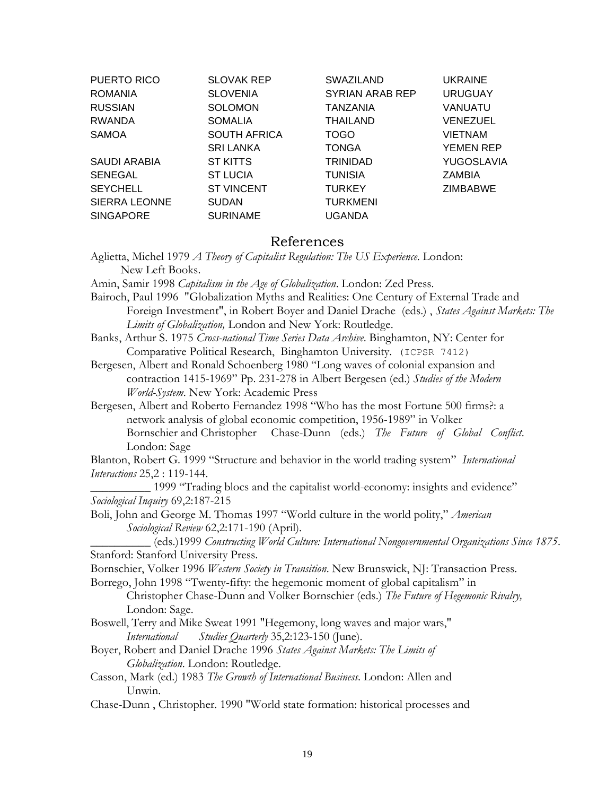| PUERTO RICO          | <b>SLOVAK REP</b>   | <b>SWAZILAND</b> | <b>UKRAINE</b>  |
|----------------------|---------------------|------------------|-----------------|
| <b>ROMANIA</b>       | <b>SLOVENIA</b>     | SYRIAN ARAB REP  | <b>URUGUAY</b>  |
| <b>RUSSIAN</b>       | <b>SOLOMON</b>      | <b>TANZANIA</b>  | <b>VANUATU</b>  |
| RWANDA               | <b>SOMALIA</b>      | <b>THAILAND</b>  | <b>VENEZUEL</b> |
| <b>SAMOA</b>         | <b>SOUTH AFRICA</b> | <b>TOGO</b>      | <b>VIETNAM</b>  |
|                      | SRI LANKA           | <b>TONGA</b>     | YEMEN REP       |
| SAUDI ARABIA         | <b>ST KITTS</b>     | <b>TRINIDAD</b>  | YUGOSLAVIA      |
| <b>SENEGAL</b>       | <b>ST LUCIA</b>     | <b>TUNISIA</b>   | <b>ZAMBIA</b>   |
| <b>SEYCHELL</b>      | <b>ST VINCENT</b>   | <b>TURKEY</b>    | <b>ZIMBABWE</b> |
| <b>SIERRA LEONNE</b> | <b>SUDAN</b>        | <b>TURKMENI</b>  |                 |
| <b>SINGAPORE</b>     | <b>SURINAME</b>     | <b>UGANDA</b>    |                 |

# References

| Aglietta, Michel 1979 A Theory of Capitalist Regulation: The US Experience. London:            |
|------------------------------------------------------------------------------------------------|
| New Left Books.                                                                                |
| Amin, Samir 1998 Capitalism in the Age of Globalization. London: Zed Press.                    |
| Bairoch, Paul 1996 "Globalization Myths and Realities: One Century of External Trade and       |
| Foreign Investment", in Robert Boyer and Daniel Drache (eds.), States Against Markets: The     |
| Limits of Globalization, London and New York: Routledge.                                       |
| Banks, Arthur S. 1975 Cross-national Time Series Data Archive. Binghamton, NY: Center for      |
| Comparative Political Research, Binghamton University. (ICPSR 7412)                            |
| Bergesen, Albert and Ronald Schoenberg 1980 "Long waves of colonial expansion and              |
| contraction 1415-1969" Pp. 231-278 in Albert Bergesen (ed.) Studies of the Modern              |
| World-System. New York: Academic Press                                                         |
| Bergesen, Albert and Roberto Fernandez 1998 "Who has the most Fortune 500 firms?: a            |
| network analysis of global economic competition, 1956-1989" in Volker                          |
| Bornschier and Christopher Chase-Dunn (eds.) The Future of Global Conflict.                    |
| London: Sage                                                                                   |
| Blanton, Robert G. 1999 "Structure and behavior in the world trading system" International     |
| Interactions 25,2:119-144.                                                                     |
| 1999 "Trading blocs and the capitalist world-economy: insights and evidence"                   |
| Sociological Inquiry 69,2:187-215                                                              |
| Boli, John and George M. Thomas 1997 "World culture in the world polity," American             |
| Sociological Review 62,2:171-190 (April).                                                      |
| (eds.)1999 Constructing World Culture: International Nongovernmental Organizations Since 1875. |
| Stanford: Stanford University Press.                                                           |
| Bornschier, Volker 1996 Western Society in Transition. New Brunswick, NJ: Transaction Press.   |
| Borrego, John 1998 "Twenty-fifty: the hegemonic moment of global capitalism" in                |
| Christopher Chase-Dunn and Volker Bornschier (eds.) The Future of Hegemonic Rivalry,           |
| London: Sage.                                                                                  |
| Boswell, Terry and Mike Sweat 1991 "Hegemony, long waves and major wars,"                      |
| Studies Quarterly 35,2:123-150 (June).<br>International                                        |
| Boyer, Robert and Daniel Drache 1996 States Against Markets: The Limits of                     |
| Globalization. London: Routledge.                                                              |
| Casson, Mark (ed.) 1983 The Growth of International Business. London: Allen and                |
| Unwin.                                                                                         |
| Chase-Dunn, Christopher. 1990 "World state formation: historical processes and                 |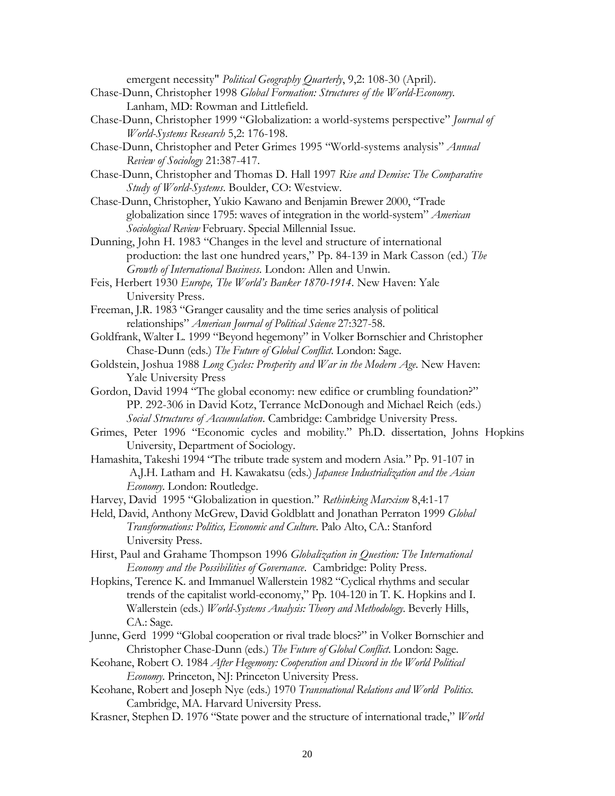emergent necessity" *Political Geography Quarterly*, 9,2: 108-30 (April).

- Chase-Dunn, Christopher 1998 *Global Formation: Structures of the World-Economy.* Lanham, MD: Rowman and Littlefield.
- Chase-Dunn, Christopher 1999 "Globalization: a world-systems perspective" *Journal of World-Systems Research* 5,2: 176-198.
- Chase-Dunn, Christopher and Peter Grimes 1995 "World-systems analysis" *Annual Review of Sociology* 21:387-417.
- Chase-Dunn, Christopher and Thomas D. Hall 1997 *Rise and Demise: The Comparative Study of World-Systems*. Boulder, CO: Westview.
- Chase-Dunn, Christopher, Yukio Kawano and Benjamin Brewer 2000, "Trade globalization since 1795: waves of integration in the world-system" *American Sociological Review* February. Special Millennial Issue.
- Dunning, John H. 1983 "Changes in the level and structure of international production: the last one hundred years," Pp. 84-139 in Mark Casson (ed.) *The Growth of International Business*. London: Allen and Unwin.
- Feis, Herbert 1930 *Europe, The World's Banker 1870-1914*. New Haven: Yale University Press.
- Freeman, J.R. 1983 "Granger causality and the time series analysis of political relationships" *American Journal of Political Science* 27:327-58.
- Goldfrank, Walter L. 1999 "Beyond hegemony" in Volker Bornschier and Christopher Chase-Dunn (eds.) *The Future of Global Conflict*. London: Sage.
- Goldstein, Joshua 1988 *Long Cycles: Prosperity and War in the Modern Age*. New Haven: Yale University Press
- Gordon, David 1994 "The global economy: new edifice or crumbling foundation?" PP. 292-306 in David Kotz, Terrance McDonough and Michael Reich (eds.) *Social Structures of Accumulation*. Cambridge: Cambridge University Press.
- Grimes, Peter 1996 "Economic cycles and mobility." Ph.D. dissertation, Johns Hopkins University, Department of Sociology.
- Hamashita, Takeshi 1994 "The tribute trade system and modern Asia." Pp. 91-107 in A,J.H. Latham and H. Kawakatsu (eds.) *Japanese Industrialization and the Asian Economy*. London: Routledge.
- Harvey, David 1995 "Globalization in question." *Rethinking Marxism* 8,4:1-17
- Held, David, Anthony McGrew, David Goldblatt and Jonathan Perraton 1999 *Global Transformations: Politics, Economic and Culture*. Palo Alto, CA.: Stanford University Press.
- Hirst, Paul and Grahame Thompson 1996 *Globalization in Question: The International Economy and the Possibilities of Governance*. Cambridge: Polity Press.
- Hopkins, Terence K. and Immanuel Wallerstein 1982 "Cyclical rhythms and secular trends of the capitalist world-economy," Pp. 104-120 in T. K. Hopkins and I. Wallerstein (eds.) *World-Systems Analysis: Theory and Methodology*. Beverly Hills, CA.: Sage.
- Junne, Gerd 1999 "Global cooperation or rival trade blocs?" in Volker Bornschier and Christopher Chase-Dunn (eds.) *The Future of Global Conflict*. London: Sage.
- Keohane, Robert O. 1984 *After Hegemony: Cooperation and Discord in the World Political Economy*. Princeton, NJ: Princeton University Press.
- Keohane, Robert and Joseph Nye (eds.) 1970 *Transnational Relations and World Politics.* Cambridge, MA. Harvard University Press.
- Krasner, Stephen D. 1976 "State power and the structure of international trade," *World*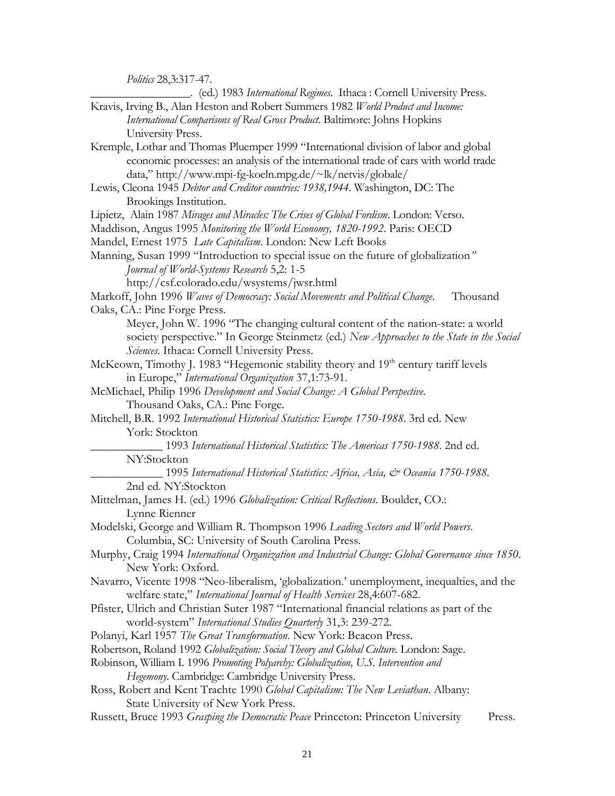*Politics* 28,3:317-47.

\_\_\_\_\_\_\_\_\_\_\_\_\_\_\_\_\_. (ed.) 1983 *International Regimes*. Ithaca : Cornell University Press.

- Kravis, Irving B., Alan Heston and Robert Summers 1982 *World Product and Income: International Comparisons of Real Gross Product*. Baltimore: Johns Hopkins University Press.
- Kremple, Lothar and Thomas Pluemper 1999 "International division of labor and global economic processes: an analysis of the international trade of cars with world trade data," http://www.mpi-fg-koeln.mpg.de/~lk/netvis/globale/
- Lewis, Cleona 1945 *Debtor and Creditor countries: 1938,1944*. Washington, DC: The Brookings Institution.

Lipietz, Alain 1987 *Mirages and Miracles: The Crises of Global Fordism*. London: Verso.

Maddison, Angus 1995 *Monitoring the World Economy, 1820-1992*. Paris: OECD

Mandel, Ernest 1975 *Late Capitalism*. London: New Left Books

- Manning, Susan 1999 "Introduction to special issue on the future of globalization*" Journal of World-Systems Research* 5,2: 1-5
	- http://csf.colorado.edu/wsystems/jwsr.html
- Markoff, John 1996 *Waves of Democracy: Social Movements and Political Change*. Thousand Oaks, CA.: Pine Forge Press.
	- Meyer, John W. 1996 "The changing cultural content of the nation-state: a world society perspective." In George Steinmetz (ed.) *New Approaches to the State in the Social Sciences*. Ithaca: Cornell University Press.
- McKeown, Timothy J. 1983 "Hegemonic stability theory and 19<sup>th</sup> century tariff levels in Europe," *International Organization* 37,1:73-91.
- McMichael, Philip 1996 *Development and Social Change: A Global Perspective.* Thousand Oaks, CA.: Pine Forge.
- Mitchell, B.R. 1992 *International Historical Statistics: Europe 1750-1988*. 3rd ed. New York: Stockton
	- \_\_\_\_\_\_\_\_\_\_\_\_ 1993 *International Historical Statistics: The Americas 1750-1988*. 2nd ed. NY:Stockton
	- \_\_\_\_\_\_\_\_\_\_\_\_ 1995 *International Historical Statistics: Africa, Asia, & Oceania 1750-1988.* 2nd ed. NY:Stockton
- Mittelman, James H. (ed.) 1996 *Globalization: Critical Reflections*. Boulder, CO.: Lynne Rienner
- Modelski, George and William R. Thompson 1996 *Leading Sectors and World Powers*. Columbia, SC: University of South Carolina Press.
- Murphy, Craig 1994 *International Organization and Industrial Change: Global Governance since 1850*. New York: Oxford.
- Navarro, Vicente 1998 "Neo-liberalism, 'globalization.' unemployment, inequalties, and the welfare state," *International Journal of Health Services* 28,4:607-682.
- Pfister, Ulrich and Christian Suter 1987 "International financial relations as part of the world-system" *International Studies Quarterly* 31,3: 239-272.
- Polanyi, Karl 1957 *The Great Transformation*. New York: Beacon Press.
- Robertson, Roland 1992 *Globalization: Social Theory and Global Culture*. London: Sage.
- Robinson, William I. 1996 *Promoting Polyarchy: Globalization, U.S. Intervention and Hegemony*. Cambridge: Cambridge University Press.
- Ross, Robert and Kent Trachte 1990 *Global Capitalism: The New Leviathan*. Albany: State University of New York Press.
- Russett, Bruce 1993 *Grasping the Democratic Peace* Princeton: Princeton University Press.